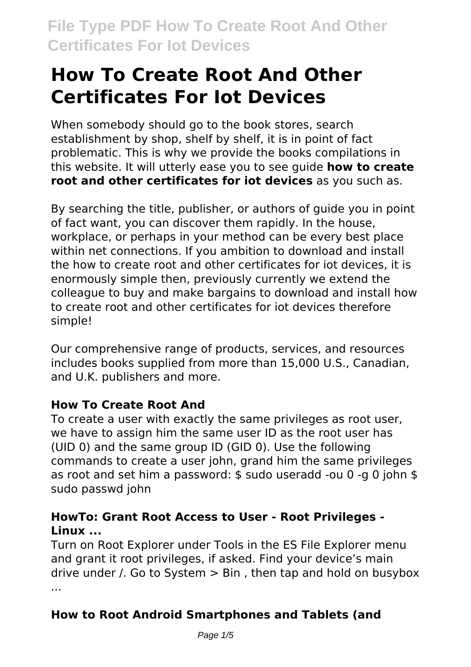# **How To Create Root And Other Certificates For Iot Devices**

When somebody should go to the book stores, search establishment by shop, shelf by shelf, it is in point of fact problematic. This is why we provide the books compilations in this website. It will utterly ease you to see guide **how to create root and other certificates for iot devices** as you such as.

By searching the title, publisher, or authors of guide you in point of fact want, you can discover them rapidly. In the house, workplace, or perhaps in your method can be every best place within net connections. If you ambition to download and install the how to create root and other certificates for iot devices, it is enormously simple then, previously currently we extend the colleague to buy and make bargains to download and install how to create root and other certificates for iot devices therefore simple!

Our comprehensive range of products, services, and resources includes books supplied from more than 15,000 U.S., Canadian, and U.K. publishers and more.

#### **How To Create Root And**

To create a user with exactly the same privileges as root user, we have to assign him the same user ID as the root user has (UID 0) and the same group ID (GID 0). Use the following commands to create a user john, grand him the same privileges as root and set him a password: \$ sudo useradd -ou 0 -g 0 john \$ sudo passwd john

### **HowTo: Grant Root Access to User - Root Privileges - Linux ...**

Turn on Root Explorer under Tools in the ES File Explorer menu and grant it root privileges, if asked. Find your device's main drive under  $\ell$ . Go to System  $>$  Bin, then tap and hold on busybox ...

# **How to Root Android Smartphones and Tablets (and**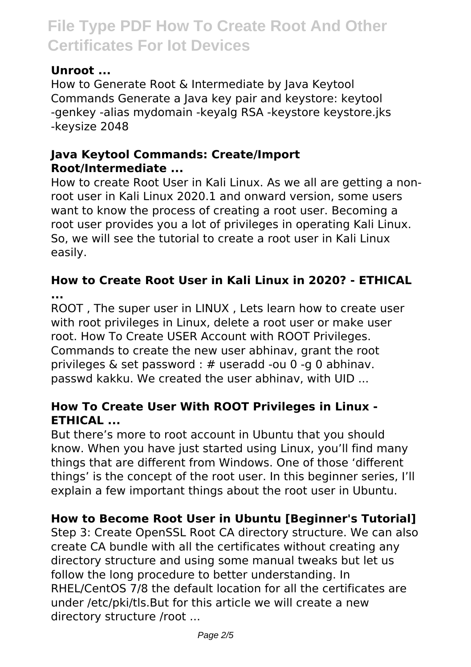### **Unroot ...**

How to Generate Root & Intermediate by Java Keytool Commands Generate a Java key pair and keystore: keytool -genkey -alias mydomain -keyalg RSA -keystore keystore.jks -keysize 2048

#### **Java Keytool Commands: Create/Import Root/Intermediate ...**

How to create Root User in Kali Linux. As we all are getting a nonroot user in Kali Linux 2020.1 and onward version, some users want to know the process of creating a root user. Becoming a root user provides you a lot of privileges in operating Kali Linux. So, we will see the tutorial to create a root user in Kali Linux easily.

### **How to Create Root User in Kali Linux in 2020? - ETHICAL ...**

ROOT , The super user in LINUX , Lets learn how to create user with root privileges in Linux, delete a root user or make user root. How To Create USER Account with ROOT Privileges. Commands to create the new user abhinav, grant the root privileges & set password : # useradd -ou 0 -g 0 abhinav. passwd kakku. We created the user abhinav, with UID ...

## **How To Create User With ROOT Privileges in Linux - ETHICAL ...**

But there's more to root account in Ubuntu that you should know. When you have just started using Linux, you'll find many things that are different from Windows. One of those 'different things' is the concept of the root user. In this beginner series, I'll explain a few important things about the root user in Ubuntu.

# **How to Become Root User in Ubuntu [Beginner's Tutorial]**

Step 3: Create OpenSSL Root CA directory structure. We can also create CA bundle with all the certificates without creating any directory structure and using some manual tweaks but let us follow the long procedure to better understanding. In RHEL/CentOS 7/8 the default location for all the certificates are under /etc/pki/tls.But for this article we will create a new directory structure /root ...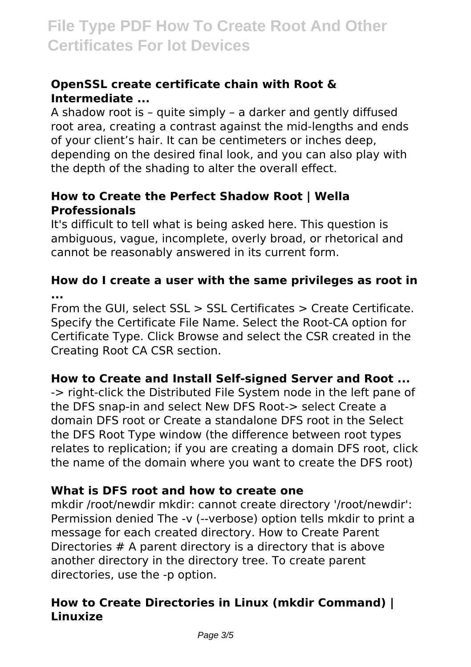#### **OpenSSL create certificate chain with Root & Intermediate ...**

A shadow root is – quite simply – a darker and gently diffused root area, creating a contrast against the mid-lengths and ends of your client's hair. It can be centimeters or inches deep, depending on the desired final look, and you can also play with the depth of the shading to alter the overall effect.

#### **How to Create the Perfect Shadow Root | Wella Professionals**

It's difficult to tell what is being asked here. This question is ambiguous, vague, incomplete, overly broad, or rhetorical and cannot be reasonably answered in its current form.

#### **How do I create a user with the same privileges as root in ...**

From the GUI, select SSL > SSL Certificates > Create Certificate. Specify the Certificate File Name. Select the Root-CA option for Certificate Type. Click Browse and select the CSR created in the Creating Root CA CSR section.

#### **How to Create and Install Self-signed Server and Root ...**

-> right-click the Distributed File System node in the left pane of the DFS snap-in and select New DFS Root-> select Create a domain DFS root or Create a standalone DFS root in the Select the DFS Root Type window (the difference between root types relates to replication; if you are creating a domain DFS root, click the name of the domain where you want to create the DFS root)

#### **What is DFS root and how to create one**

mkdir /root/newdir mkdir: cannot create directory '/root/newdir': Permission denied The -v (--verbose) option tells mkdir to print a message for each created directory. How to Create Parent Directories # A parent directory is a directory that is above another directory in the directory tree. To create parent directories, use the -p option.

### **How to Create Directories in Linux (mkdir Command) | Linuxize**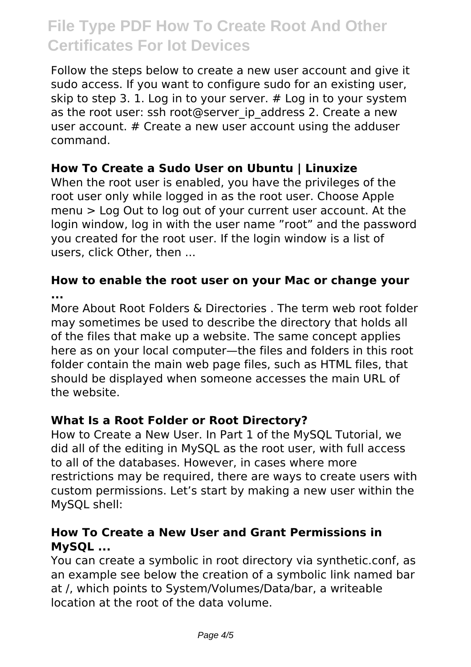Follow the steps below to create a new user account and give it sudo access. If you want to configure sudo for an existing user, skip to step 3. 1. Log in to your server. # Log in to your system as the root user: ssh root@server ip address 2. Create a new user account. # Create a new user account using the adduser command.

#### **How To Create a Sudo User on Ubuntu | Linuxize**

When the root user is enabled, you have the privileges of the root user only while logged in as the root user. Choose Apple menu > Log Out to log out of your current user account. At the login window, log in with the user name "root" and the password you created for the root user. If the login window is a list of users, click Other, then ...

#### **How to enable the root user on your Mac or change your ...**

More About Root Folders & Directories . The term web root folder may sometimes be used to describe the directory that holds all of the files that make up a website. The same concept applies here as on your local computer—the files and folders in this root folder contain the main web page files, such as HTML files, that should be displayed when someone accesses the main URL of the website.

#### **What Is a Root Folder or Root Directory?**

How to Create a New User. In Part 1 of the MySQL Tutorial, we did all of the editing in MySQL as the root user, with full access to all of the databases. However, in cases where more restrictions may be required, there are ways to create users with custom permissions. Let's start by making a new user within the MySQL shell:

#### **How To Create a New User and Grant Permissions in MySQL ...**

You can create a symbolic in root directory via synthetic.conf, as an example see below the creation of a symbolic link named bar at /, which points to System/Volumes/Data/bar, a writeable location at the root of the data volume.